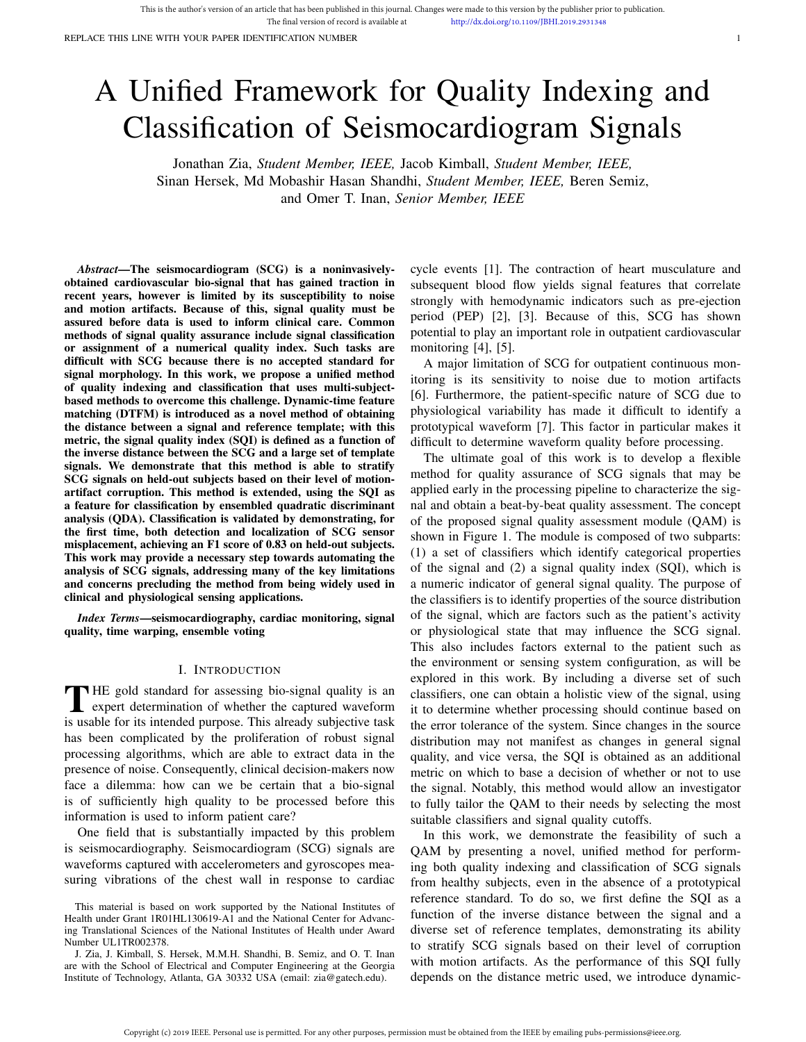REPLACE THIS LINE WITH YOUR PAPER IDENTIFICATION NUMBER 1 1

# A Unified Framework for Quality Indexing and Classification of Seismocardiogram Signals

Jonathan Zia, *Student Member, IEEE,* Jacob Kimball, *Student Member, IEEE,* Sinan Hersek, Md Mobashir Hasan Shandhi, *Student Member, IEEE,* Beren Semiz, and Omer T. Inan, *Senior Member, IEEE*

*Abstract*—The seismocardiogram (SCG) is a noninvasivelyobtained cardiovascular bio-signal that has gained traction in recent years, however is limited by its susceptibility to noise and motion artifacts. Because of this, signal quality must be assured before data is used to inform clinical care. Common methods of signal quality assurance include signal classification or assignment of a numerical quality index. Such tasks are difficult with SCG because there is no accepted standard for signal morphology. In this work, we propose a unified method of quality indexing and classification that uses multi-subjectbased methods to overcome this challenge. Dynamic-time feature matching (DTFM) is introduced as a novel method of obtaining the distance between a signal and reference template; with this metric, the signal quality index (SQI) is defined as a function of the inverse distance between the SCG and a large set of template signals. We demonstrate that this method is able to stratify SCG signals on held-out subjects based on their level of motionartifact corruption. This method is extended, using the SQI as a feature for classification by ensembled quadratic discriminant analysis (QDA). Classification is validated by demonstrating, for the first time, both detection and localization of SCG sensor misplacement, achieving an F1 score of 0.83 on held-out subjects. This work may provide a necessary step towards automating the analysis of SCG signals, addressing many of the key limitations and concerns precluding the method from being widely used in clinical and physiological sensing applications.

*Index Terms*—seismocardiography, cardiac monitoring, signal quality, time warping, ensemble voting

#### I. INTRODUCTION

THE gold standard for assessing bio-signal quality is an expert determination of whether the captured waveform is usable for its intended purpose. This already subjective task has been complicated by the proliferation of robust signal processing algorithms, which are able to extract data in the presence of noise. Consequently, clinical decision-makers now face a dilemma: how can we be certain that a bio-signal is of sufficiently high quality to be processed before this information is used to inform patient care?

One field that is substantially impacted by this problem is seismocardiography. Seismocardiogram (SCG) signals are waveforms captured with accelerometers and gyroscopes measuring vibrations of the chest wall in response to cardiac cycle events [1]. The contraction of heart musculature and subsequent blood flow yields signal features that correlate strongly with hemodynamic indicators such as pre-ejection period (PEP) [2], [3]. Because of this, SCG has shown potential to play an important role in outpatient cardiovascular monitoring [4], [5].

A major limitation of SCG for outpatient continuous monitoring is its sensitivity to noise due to motion artifacts [6]. Furthermore, the patient-specific nature of SCG due to physiological variability has made it difficult to identify a prototypical waveform [7]. This factor in particular makes it difficult to determine waveform quality before processing.

The ultimate goal of this work is to develop a flexible method for quality assurance of SCG signals that may be applied early in the processing pipeline to characterize the signal and obtain a beat-by-beat quality assessment. The concept of the proposed signal quality assessment module (QAM) is shown in Figure 1. The module is composed of two subparts: (1) a set of classifiers which identify categorical properties of the signal and (2) a signal quality index (SQI), which is a numeric indicator of general signal quality. The purpose of the classifiers is to identify properties of the source distribution of the signal, which are factors such as the patient's activity or physiological state that may influence the SCG signal. This also includes factors external to the patient such as the environment or sensing system configuration, as will be explored in this work. By including a diverse set of such classifiers, one can obtain a holistic view of the signal, using it to determine whether processing should continue based on the error tolerance of the system. Since changes in the source distribution may not manifest as changes in general signal quality, and vice versa, the SQI is obtained as an additional metric on which to base a decision of whether or not to use the signal. Notably, this method would allow an investigator to fully tailor the QAM to their needs by selecting the most suitable classifiers and signal quality cutoffs.

In this work, we demonstrate the feasibility of such a QAM by presenting a novel, unified method for performing both quality indexing and classification of SCG signals from healthy subjects, even in the absence of a prototypical reference standard. To do so, we first define the SQI as a function of the inverse distance between the signal and a diverse set of reference templates, demonstrating its ability to stratify SCG signals based on their level of corruption with motion artifacts. As the performance of this SQI fully depends on the distance metric used, we introduce dynamic-

This material is based on work supported by the National Institutes of Health under Grant 1R01HL130619-A1 and the National Center for Advancing Translational Sciences of the National Institutes of Health under Award Number UL1TR002378.

J. Zia, J. Kimball, S. Hersek, M.M.H. Shandhi, B. Semiz, and O. T. Inan are with the School of Electrical and Computer Engineering at the Georgia Institute of Technology, Atlanta, GA 30332 USA (email: zia@gatech.edu).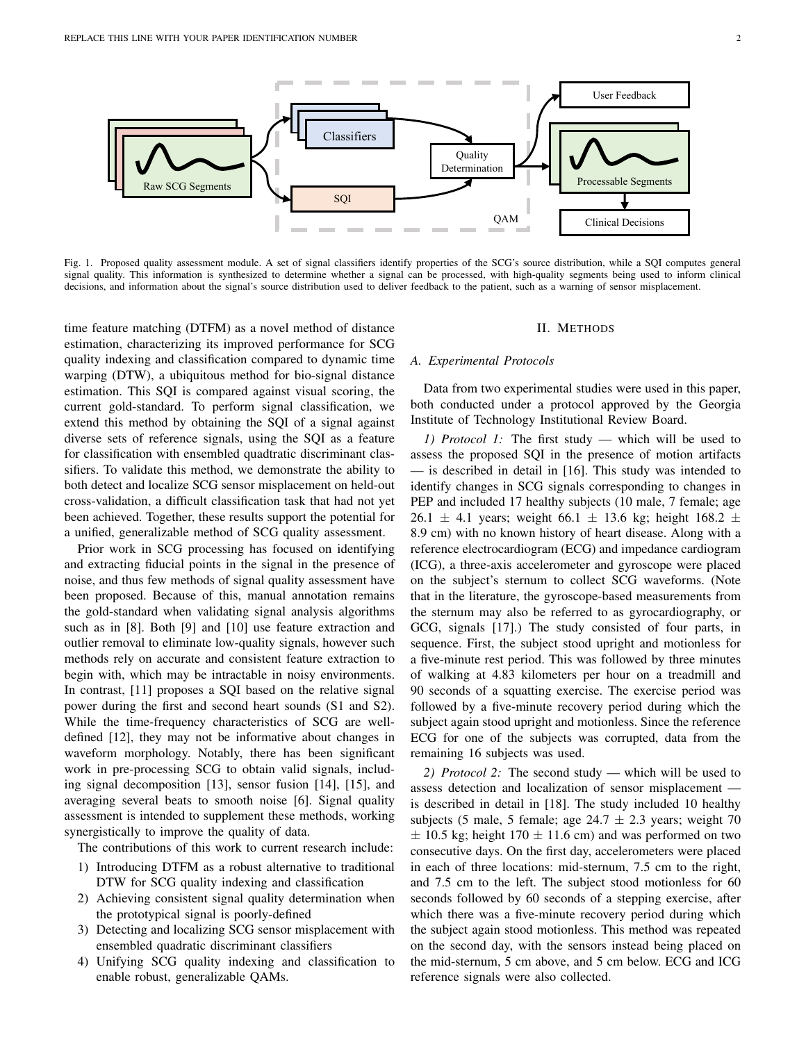

Fig. 1. Proposed quality assessment module. A set of signal classifiers identify properties of the SCG's source distribution, while a SQI computes general signal quality. This information is synthesized to determine whether a signal can be processed, with high-quality segments being used to inform clinical decisions, and information about the signal's source distribution used to deliver feedback to the patient, such as a warning of sensor misplacement.

time feature matching (DTFM) as a novel method of distance estimation, characterizing its improved performance for SCG quality indexing and classification compared to dynamic time warping (DTW), a ubiquitous method for bio-signal distance estimation. This SQI is compared against visual scoring, the current gold-standard. To perform signal classification, we extend this method by obtaining the SQI of a signal against diverse sets of reference signals, using the SQI as a feature for classification with ensembled quadtratic discriminant classifiers. To validate this method, we demonstrate the ability to both detect and localize SCG sensor misplacement on held-out cross-validation, a difficult classification task that had not yet been achieved. Together, these results support the potential for a unified, generalizable method of SCG quality assessment.

Prior work in SCG processing has focused on identifying and extracting fiducial points in the signal in the presence of noise, and thus few methods of signal quality assessment have been proposed. Because of this, manual annotation remains the gold-standard when validating signal analysis algorithms such as in [8]. Both [9] and [10] use feature extraction and outlier removal to eliminate low-quality signals, however such methods rely on accurate and consistent feature extraction to begin with, which may be intractable in noisy environments. In contrast, [11] proposes a SQI based on the relative signal power during the first and second heart sounds (S1 and S2). While the time-frequency characteristics of SCG are welldefined [12], they may not be informative about changes in waveform morphology. Notably, there has been significant work in pre-processing SCG to obtain valid signals, including signal decomposition [13], sensor fusion [14], [15], and averaging several beats to smooth noise [6]. Signal quality assessment is intended to supplement these methods, working synergistically to improve the quality of data.

The contributions of this work to current research include:

- 1) Introducing DTFM as a robust alternative to traditional DTW for SCG quality indexing and classification
- 2) Achieving consistent signal quality determination when the prototypical signal is poorly-defined
- 3) Detecting and localizing SCG sensor misplacement with ensembled quadratic discriminant classifiers
- 4) Unifying SCG quality indexing and classification to enable robust, generalizable QAMs.

#### II. METHODS

# *A. Experimental Protocols*

Data from two experimental studies were used in this paper, both conducted under a protocol approved by the Georgia Institute of Technology Institutional Review Board.

*1) Protocol 1:* The first study — which will be used to assess the proposed SQI in the presence of motion artifacts — is described in detail in [16]. This study was intended to identify changes in SCG signals corresponding to changes in PEP and included 17 healthy subjects (10 male, 7 female; age 26.1 *±* 4.1 years; weight 66.1 *±* 13.6 kg; height 168.2 *±* 8.9 cm) with no known history of heart disease. Along with a reference electrocardiogram (ECG) and impedance cardiogram (ICG), a three-axis accelerometer and gyroscope were placed on the subject's sternum to collect SCG waveforms. (Note that in the literature, the gyroscope-based measurements from the sternum may also be referred to as gyrocardiography, or GCG, signals [17].) The study consisted of four parts, in sequence. First, the subject stood upright and motionless for a five-minute rest period. This was followed by three minutes of walking at 4.83 kilometers per hour on a treadmill and 90 seconds of a squatting exercise. The exercise period was followed by a five-minute recovery period during which the subject again stood upright and motionless. Since the reference ECG for one of the subjects was corrupted, data from the remaining 16 subjects was used.

*2) Protocol 2:* The second study — which will be used to assess detection and localization of sensor misplacement is described in detail in [18]. The study included 10 healthy subjects (5 male, 5 female; age  $24.7 \pm 2.3$  years; weight 70 *±* 10.5 kg; height 170 *±* 11.6 cm) and was performed on two consecutive days. On the first day, accelerometers were placed in each of three locations: mid-sternum, 7.5 cm to the right, and 7.5 cm to the left. The subject stood motionless for 60 seconds followed by 60 seconds of a stepping exercise, after which there was a five-minute recovery period during which the subject again stood motionless. This method was repeated on the second day, with the sensors instead being placed on the mid-sternum, 5 cm above, and 5 cm below. ECG and ICG reference signals were also collected.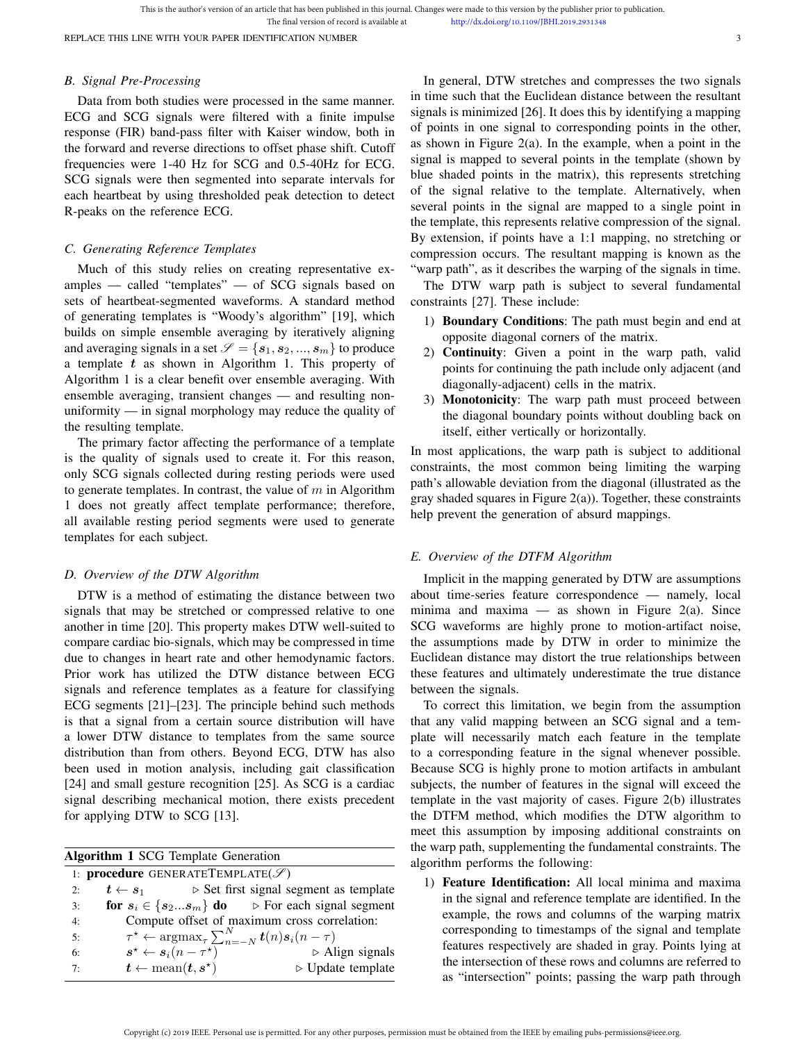This is the author's version of an article that has been published in this journal. Changes were made to this version by the publisher prior to publication The final version of record is available at http://dx.doi.org/10.1109/JBHI.2019.2931348

REPLACE THIS LINE WITH YOUR PAPER IDENTIFICATION NUMBER 33

# *B. Signal Pre-Processing*

Data from both studies were processed in the same manner. ECG and SCG signals were filtered with a finite impulse response (FIR) band-pass filter with Kaiser window, both in the forward and reverse directions to offset phase shift. Cutoff frequencies were 1-40 Hz for SCG and 0.5-40Hz for ECG. SCG signals were then segmented into separate intervals for each heartbeat by using thresholded peak detection to detect R-peaks on the reference ECG.

# *C. Generating Reference Templates*

Much of this study relies on creating representative examples — called "templates" — of SCG signals based on sets of heartbeat-segmented waveforms. A standard method of generating templates is "Woody's algorithm" [19], which builds on simple ensemble averaging by iteratively aligning and averaging signals in a set  $\mathcal{S} = \{s_1, s_2, ..., s_m\}$  to produce a template *t* as shown in Algorithm 1. This property of Algorithm 1 is a clear benefit over ensemble averaging. With ensemble averaging, transient changes — and resulting nonuniformity — in signal morphology may reduce the quality of the resulting template.

The primary factor affecting the performance of a template is the quality of signals used to create it. For this reason, only SCG signals collected during resting periods were used to generate templates. In contrast, the value of *m* in Algorithm 1 does not greatly affect template performance; therefore, all available resting period segments were used to generate templates for each subject.

# *D. Overview of the DTW Algorithm*

DTW is a method of estimating the distance between two signals that may be stretched or compressed relative to one another in time [20]. This property makes DTW well-suited to compare cardiac bio-signals, which may be compressed in time due to changes in heart rate and other hemodynamic factors. Prior work has utilized the DTW distance between ECG signals and reference templates as a feature for classifying ECG segments [21]–[23]. The principle behind such methods is that a signal from a certain source distribution will have a lower DTW distance to templates from the same source distribution than from others. Beyond ECG, DTW has also been used in motion analysis, including gait classification [24] and small gesture recognition [25]. As SCG is a cardiac signal describing mechanical motion, there exists precedent for applying DTW to SCG [13].

| <b>Algorithm 1 SCG Template Generation</b>     |                                                                                |                                  |
|------------------------------------------------|--------------------------------------------------------------------------------|----------------------------------|
| 1: procedure GENERATETEMPLATE( $\mathscr{S}$ ) |                                                                                |                                  |
|                                                | $t \leftarrow s_1$ $\triangleright$ Set first signal segment as template<br>2: |                                  |
|                                                | for $s_i \in \{s_2s_m\}$ do $\Rightarrow$ For each signal segment<br>3:        |                                  |
| 4:                                             | Compute offset of maximum cross correlation:                                   |                                  |
| 5:                                             | $\tau^* \leftarrow \arg \max_{\tau} \sum_{n=-N}^{N} t(n) s_i(n-\tau)$          |                                  |
| 6:                                             | $s^* \leftarrow s_i(n - \tau^*)$                                               | $\triangleright$ Align signals   |
| 7:                                             | $t \leftarrow \text{mean}(t, s^{\star})$                                       | $\triangleright$ Update template |

In general, DTW stretches and compresses the two signals in time such that the Euclidean distance between the resultant signals is minimized [26]. It does this by identifying a mapping of points in one signal to corresponding points in the other, as shown in Figure  $2(a)$ . In the example, when a point in the signal is mapped to several points in the template (shown by blue shaded points in the matrix), this represents stretching of the signal relative to the template. Alternatively, when several points in the signal are mapped to a single point in the template, this represents relative compression of the signal. By extension, if points have a 1:1 mapping, no stretching or compression occurs. The resultant mapping is known as the "warp path", as it describes the warping of the signals in time.

The DTW warp path is subject to several fundamental constraints [27]. These include:

- 1) Boundary Conditions: The path must begin and end at opposite diagonal corners of the matrix.
- 2) Continuity: Given a point in the warp path, valid points for continuing the path include only adjacent (and diagonally-adjacent) cells in the matrix.
- 3) Monotonicity: The warp path must proceed between the diagonal boundary points without doubling back on itself, either vertically or horizontally.

In most applications, the warp path is subject to additional constraints, the most common being limiting the warping path's allowable deviation from the diagonal (illustrated as the gray shaded squares in Figure 2(a)). Together, these constraints help prevent the generation of absurd mappings.

# *E. Overview of the DTFM Algorithm*

Implicit in the mapping generated by DTW are assumptions about time-series feature correspondence — namely, local minima and maxima — as shown in Figure  $2(a)$ . Since SCG waveforms are highly prone to motion-artifact noise, the assumptions made by DTW in order to minimize the Euclidean distance may distort the true relationships between these features and ultimately underestimate the true distance between the signals.

To correct this limitation, we begin from the assumption that any valid mapping between an SCG signal and a template will necessarily match each feature in the template to a corresponding feature in the signal whenever possible. Because SCG is highly prone to motion artifacts in ambulant subjects, the number of features in the signal will exceed the template in the vast majority of cases. Figure 2(b) illustrates the DTFM method, which modifies the DTW algorithm to meet this assumption by imposing additional constraints on the warp path, supplementing the fundamental constraints. The algorithm performs the following:

1) Feature Identification: All local minima and maxima in the signal and reference template are identified. In the example, the rows and columns of the warping matrix corresponding to timestamps of the signal and template features respectively are shaded in gray. Points lying at the intersection of these rows and columns are referred to as "intersection" points; passing the warp path through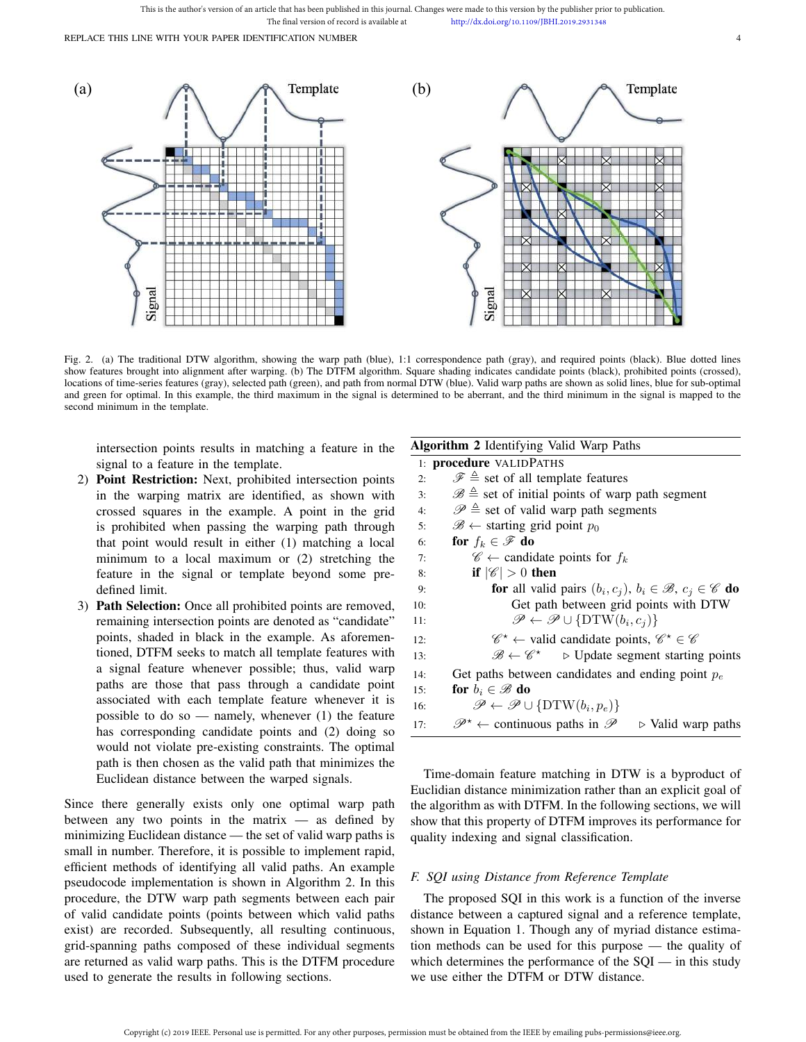REPLACE THIS LINE WITH YOUR PAPER IDENTIFICATION NUMBER 4



Fig. 2. (a) The traditional DTW algorithm, showing the warp path (blue), 1:1 correspondence path (gray), and required points (black). Blue dotted lines show features brought into alignment after warping. (b) The DTFM algorithm. Square shading indicates candidate points (black), prohibited points (crossed), locations of time-series features (gray), selected path (green), and path from normal DTW (blue). Valid warp paths are shown as solid lines, blue for sub-optimal and green for optimal. In this example, the third maximum in the signal is determined to be aberrant, and the third minimum in the signal is mapped to the second minimum in the template.

intersection points results in matching a feature in the signal to a feature in the template.

- 2) Point Restriction: Next, prohibited intersection points in the warping matrix are identified, as shown with crossed squares in the example. A point in the grid is prohibited when passing the warping path through that point would result in either (1) matching a local minimum to a local maximum or (2) stretching the feature in the signal or template beyond some predefined limit.
- 3) Path Selection: Once all prohibited points are removed, remaining intersection points are denoted as "candidate" points, shaded in black in the example. As aforementioned, DTFM seeks to match all template features with a signal feature whenever possible; thus, valid warp paths are those that pass through a candidate point associated with each template feature whenever it is possible to do so — namely, whenever (1) the feature has corresponding candidate points and (2) doing so would not violate pre-existing constraints. The optimal path is then chosen as the valid path that minimizes the Euclidean distance between the warped signals.

Since there generally exists only one optimal warp path between any two points in the matrix  $-$  as defined by minimizing Euclidean distance — the set of valid warp paths is small in number. Therefore, it is possible to implement rapid, efficient methods of identifying all valid paths. An example pseudocode implementation is shown in Algorithm 2. In this procedure, the DTW warp path segments between each pair of valid candidate points (points between which valid paths exist) are recorded. Subsequently, all resulting continuous, grid-spanning paths composed of these individual segments are returned as valid warp paths. This is the DTFM procedure used to generate the results in following sections.

| Algorithm 2 Identifying Valid Warp Paths |                                                                                                         |  |
|------------------------------------------|---------------------------------------------------------------------------------------------------------|--|
|                                          | 1: <b>procedure</b> VALIDPATHS                                                                          |  |
| 2:                                       | $\mathscr{F} \triangleq$ set of all template features                                                   |  |
| 3:                                       | $\mathscr{B} \triangleq$ set of initial points of warp path segment                                     |  |
| 4:                                       | $\mathscr{P} \triangleq$ set of valid warp path segments                                                |  |
| 5:                                       | $\mathscr{B} \leftarrow$ starting grid point $p_0$                                                      |  |
| 6:                                       | for $f_k \in \mathscr{F}$ do                                                                            |  |
| 7:                                       | $\mathscr{C} \leftarrow$ candidate points for $f_k$                                                     |  |
| 8:                                       | if $ \mathscr{C}  > 0$ then                                                                             |  |
| 9:                                       | <b>for</b> all valid pairs $(b_i, c_i)$ , $b_i \in \mathcal{B}$ , $c_i \in \mathcal{C}$ <b>do</b>       |  |
| 10:                                      | Get path between grid points with DTW                                                                   |  |
| 11:                                      | $\mathscr{P} \leftarrow \mathscr{P} \cup {\rm \{DTW}(b_i,c_i)}$                                         |  |
| 12:                                      | $\mathscr{C}^{\star} \leftarrow$ valid candidate points, $\mathscr{C}^{\star} \in \mathscr{C}$          |  |
| 13:                                      | $\mathscr{B} \leftarrow \mathscr{C}^{\star}$ $\triangleright$ Update segment starting points            |  |
| 14:                                      | Get paths between candidates and ending point $p_e$                                                     |  |
| 15:                                      | for $b_i \in \mathscr{B}$ do                                                                            |  |
| 16:                                      | $\mathscr{P} \leftarrow \mathscr{P} \cup {\{\mathrm{DTW}(b_i, p_e)\}}$                                  |  |
| 17:                                      | $\mathscr{P}^{\star} \leftarrow$ continuous paths in $\mathscr{P}$<br>$\triangleright$ Valid warp paths |  |

Time-domain feature matching in DTW is a byproduct of Euclidian distance minimization rather than an explicit goal of the algorithm as with DTFM. In the following sections, we will show that this property of DTFM improves its performance for quality indexing and signal classification.

# *F. SQI using Distance from Reference Template*

The proposed SQI in this work is a function of the inverse distance between a captured signal and a reference template, shown in Equation 1. Though any of myriad distance estimation methods can be used for this purpose — the quality of which determines the performance of the  $SQL$  — in this study we use either the DTFM or DTW distance.

This is the author's version of an article that has been published in this journal. Changes were made to this version by the publisher prior to publication. The final version of record is available at http://dx.doi.org/10.1109/JBHI.2019.2931348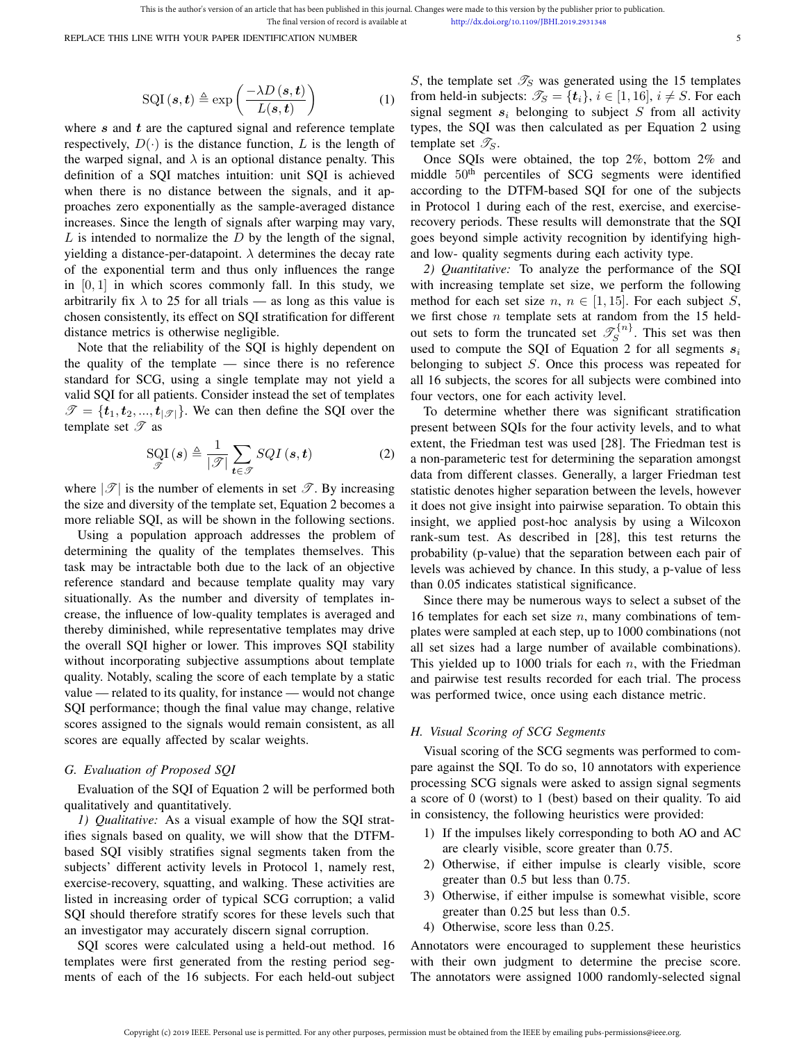$$
SQI(s,t) \triangleq \exp\left(\frac{-\lambda D(s,t)}{L(s,t)}\right) \tag{1}
$$

where *s* and *t* are the captured signal and reference template respectively,  $D(\cdot)$  is the distance function, L is the length of the warped signal, and  $\lambda$  is an optional distance penalty. This definition of a SQI matches intuition: unit SQI is achieved when there is no distance between the signals, and it approaches zero exponentially as the sample-averaged distance increases. Since the length of signals after warping may vary, *L* is intended to normalize the *D* by the length of the signal, yielding a distance-per-datapoint.  $\lambda$  determines the decay rate of the exponential term and thus only influences the range in [0*,* 1] in which scores commonly fall. In this study, we arbitrarily fix  $\lambda$  to 25 for all trials — as long as this value is chosen consistently, its effect on SQI stratification for different distance metrics is otherwise negligible.

Note that the reliability of the SQI is highly dependent on the quality of the template — since there is no reference standard for SCG, using a single template may not yield a valid SQI for all patients. Consider instead the set of templates  $\mathscr{T} = \{t_1, t_2, ..., t_{|\mathscr{T}|}\}.$  We can then define the SQI over the template set  $\mathscr T$  as

$$
\underset{\mathcal{T}}{\text{SQL}}(s) \triangleq \frac{1}{|\mathcal{T}|} \sum_{t \in \mathcal{T}} SQI(s, t) \tag{2}
$$

where  $|\mathscr{T}|$  is the number of elements in set  $\mathscr{T}$ . By increasing the size and diversity of the template set, Equation 2 becomes a more reliable SQI, as will be shown in the following sections.

Using a population approach addresses the problem of determining the quality of the templates themselves. This task may be intractable both due to the lack of an objective reference standard and because template quality may vary situationally. As the number and diversity of templates increase, the influence of low-quality templates is averaged and thereby diminished, while representative templates may drive the overall SQI higher or lower. This improves SQI stability without incorporating subjective assumptions about template quality. Notably, scaling the score of each template by a static value — related to its quality, for instance — would not change SQI performance; though the final value may change, relative scores assigned to the signals would remain consistent, as all scores are equally affected by scalar weights.

#### *G. Evaluation of Proposed SQI*

Evaluation of the SQI of Equation 2 will be performed both qualitatively and quantitatively.

*1) Qualitative:* As a visual example of how the SQI stratifies signals based on quality, we will show that the DTFMbased SQI visibly stratifies signal segments taken from the subjects' different activity levels in Protocol 1, namely rest, exercise-recovery, squatting, and walking. These activities are listed in increasing order of typical SCG corruption; a valid SQI should therefore stratify scores for these levels such that an investigator may accurately discern signal corruption.

SQI scores were calculated using a held-out method. 16 templates were first generated from the resting period segments of each of the 16 subjects. For each held-out subject

*S*, the template set  $\mathcal{T}_S$  was generated using the 15 templates from held-in subjects:  $\mathcal{T}_S = \{t_i\}$ ,  $i \in [1, 16]$ ,  $i \neq S$ . For each signal segment  $s_i$  belonging to subject  $S$  from all activity types, the SQI was then calculated as per Equation 2 using template set *TS*.

Once SQIs were obtained, the top 2%, bottom 2% and middle 50th percentiles of SCG segments were identified according to the DTFM-based SQI for one of the subjects in Protocol 1 during each of the rest, exercise, and exerciserecovery periods. These results will demonstrate that the SQI goes beyond simple activity recognition by identifying highand low- quality segments during each activity type.

*2) Quantitative:* To analyze the performance of the SQI with increasing template set size, we perform the following method for each set size *n*,  $n \in [1, 15]$ . For each subject *S*, we first chose *n* template sets at random from the 15 heldout sets to form the truncated set  $\mathcal{T}_{S}^{\{n\}}$ . This set was then used to compute the SQI of Equation 2 for all segments *s<sup>i</sup>* belonging to subject *S*. Once this process was repeated for all 16 subjects, the scores for all subjects were combined into four vectors, one for each activity level.

To determine whether there was significant stratification present between SQIs for the four activity levels, and to what extent, the Friedman test was used [28]. The Friedman test is a non-parameteric test for determining the separation amongst data from different classes. Generally, a larger Friedman test statistic denotes higher separation between the levels, however it does not give insight into pairwise separation. To obtain this insight, we applied post-hoc analysis by using a Wilcoxon rank-sum test. As described in [28], this test returns the probability (p-value) that the separation between each pair of levels was achieved by chance. In this study, a p-value of less than 0.05 indicates statistical significance.

Since there may be numerous ways to select a subset of the 16 templates for each set size *n*, many combinations of templates were sampled at each step, up to 1000 combinations (not all set sizes had a large number of available combinations). This yielded up to 1000 trials for each *n*, with the Friedman and pairwise test results recorded for each trial. The process was performed twice, once using each distance metric.

#### *H. Visual Scoring of SCG Segments*

Visual scoring of the SCG segments was performed to compare against the SQI. To do so, 10 annotators with experience processing SCG signals were asked to assign signal segments a score of 0 (worst) to 1 (best) based on their quality. To aid in consistency, the following heuristics were provided:

- 1) If the impulses likely corresponding to both AO and AC are clearly visible, score greater than 0.75.
- 2) Otherwise, if either impulse is clearly visible, score greater than 0.5 but less than 0.75.
- 3) Otherwise, if either impulse is somewhat visible, score greater than 0.25 but less than 0.5.
- 4) Otherwise, score less than 0.25.

Annotators were encouraged to supplement these heuristics with their own judgment to determine the precise score. The annotators were assigned 1000 randomly-selected signal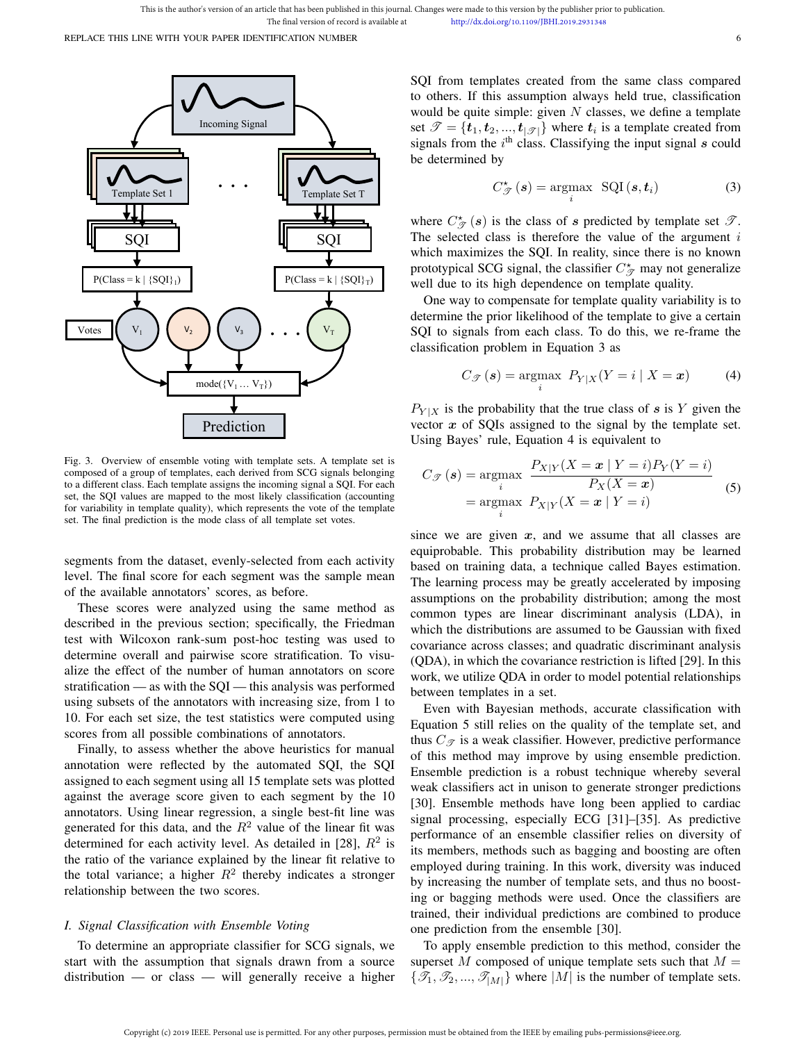

Fig. 3. Overview of ensemble voting with template sets. A template set is composed of a group of templates, each derived from SCG signals belonging to a different class. Each template assigns the incoming signal a SQI. For each set, the SQI values are mapped to the most likely classification (accounting for variability in template quality), which represents the vote of the template set. The final prediction is the mode class of all template set votes.

segments from the dataset, evenly-selected from each activity level. The final score for each segment was the sample mean of the available annotators' scores, as before.

These scores were analyzed using the same method as described in the previous section; specifically, the Friedman test with Wilcoxon rank-sum post-hoc testing was used to determine overall and pairwise score stratification. To visualize the effect of the number of human annotators on score stratification — as with the SQI — this analysis was performed using subsets of the annotators with increasing size, from 1 to 10. For each set size, the test statistics were computed using scores from all possible combinations of annotators.

Finally, to assess whether the above heuristics for manual annotation were reflected by the automated SQI, the SQI assigned to each segment using all 15 template sets was plotted against the average score given to each segment by the 10 annotators. Using linear regression, a single best-fit line was generated for this data, and the  $R^2$  value of the linear fit was determined for each activity level. As detailed in [28],  $R^2$  is the ratio of the variance explained by the linear fit relative to the total variance; a higher  $R^2$  thereby indicates a stronger relationship between the two scores.

#### *I. Signal Classification with Ensemble Voting*

To determine an appropriate classifier for SCG signals, we start with the assumption that signals drawn from a source distribution — or class — will generally receive a higher SQI from templates created from the same class compared to others. If this assumption always held true, classification would be quite simple: given *N* classes, we define a template set  $\mathcal{T} = \{t_1, t_2, ..., t_{|\mathcal{T}|}\}$  where  $t_i$  is a template created from signals from the  $i<sup>th</sup>$  class. Classifying the input signal  $s$  could be determined by

$$
C_{\mathcal{F}}^{\star}\left(s\right) = \underset{i}{\operatorname{argmax}} \quad \operatorname{SQL}\left(s, t_{i}\right) \tag{3}
$$

where  $C^*_{\mathscr{T}}(s)$  is the class of *s* predicted by template set  $\mathscr{T}$ . The selected class is therefore the value of the argument *i* which maximizes the SQI. In reality, since there is no known prototypical SCG signal, the classifier  $C^*_{\mathcal{T}}$  may not generalize well due to its high dependence on template quality.

One way to compensate for template quality variability is to determine the prior likelihood of the template to give a certain SQI to signals from each class. To do this, we re-frame the classification problem in Equation 3 as

$$
C_{\mathcal{F}}(s) = \underset{i}{\operatorname{argmax}} P_{Y|X}(Y = i | X = x)
$$
 (4)

 $P_{Y|X}$  is the probability that the true class of *s* is *Y* given the vector *x* of SQIs assigned to the signal by the template set. Using Bayes' rule, Equation 4 is equivalent to

$$
C_{\mathcal{F}}(s) = \underset{i}{\operatorname{argmax}} \frac{P_{X|Y}(X = x \mid Y = i)P_Y(Y = i)}{P_X(X = x)} \tag{5}
$$

$$
= \underset{i}{\operatorname{argmax}} P_{X|Y}(X = x \mid Y = i)
$$

since we are given  $x$ , and we assume that all classes are equiprobable. This probability distribution may be learned based on training data, a technique called Bayes estimation. The learning process may be greatly accelerated by imposing assumptions on the probability distribution; among the most common types are linear discriminant analysis (LDA), in which the distributions are assumed to be Gaussian with fixed covariance across classes; and quadratic discriminant analysis (QDA), in which the covariance restriction is lifted [29]. In this work, we utilize QDA in order to model potential relationships between templates in a set.

Even with Bayesian methods, accurate classification with Equation 5 still relies on the quality of the template set, and thus  $C_{\mathcal{T}}$  is a weak classifier. However, predictive performance of this method may improve by using ensemble prediction. Ensemble prediction is a robust technique whereby several weak classifiers act in unison to generate stronger predictions [30]. Ensemble methods have long been applied to cardiac signal processing, especially ECG [31]–[35]. As predictive performance of an ensemble classifier relies on diversity of its members, methods such as bagging and boosting are often employed during training. In this work, diversity was induced by increasing the number of template sets, and thus no boosting or bagging methods were used. Once the classifiers are trained, their individual predictions are combined to produce one prediction from the ensemble [30].

To apply ensemble prediction to this method, consider the superset  $M$  composed of unique template sets such that  $M =$  $\{\mathcal{F}_1, \mathcal{F}_2, ..., \mathcal{F}_{|M|}\}$  where  $|M|$  is the number of template sets.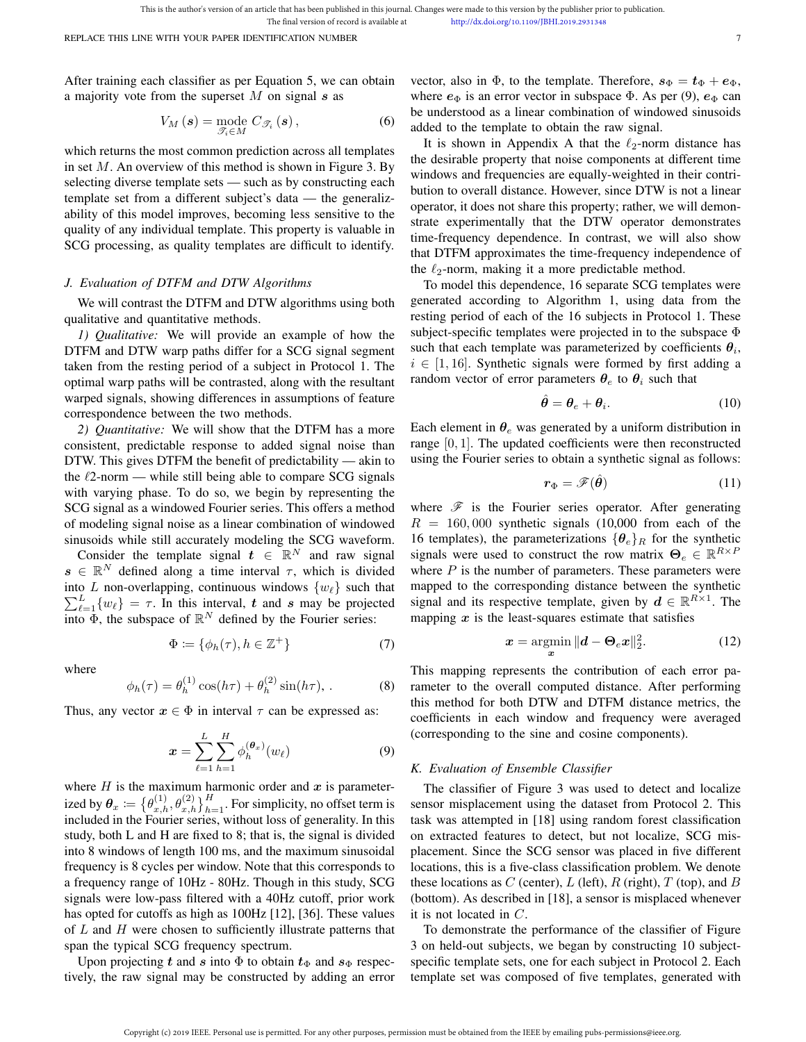After training each classifier as per Equation 5, we can obtain a majority vote from the superset *M* on signal *s* as

$$
V_M\left(\boldsymbol{s}\right) = \text{mode } C_{\mathcal{I}_i}\left(\boldsymbol{s}\right),\tag{6}
$$

which returns the most common prediction across all templates in set *M*. An overview of this method is shown in Figure 3. By selecting diverse template sets — such as by constructing each template set from a different subject's data — the generalizability of this model improves, becoming less sensitive to the quality of any individual template. This property is valuable in SCG processing, as quality templates are difficult to identify.

# *J. Evaluation of DTFM and DTW Algorithms*

We will contrast the DTFM and DTW algorithms using both qualitative and quantitative methods.

*1) Qualitative:* We will provide an example of how the DTFM and DTW warp paths differ for a SCG signal segment taken from the resting period of a subject in Protocol 1. The optimal warp paths will be contrasted, along with the resultant warped signals, showing differences in assumptions of feature correspondence between the two methods.

*2) Quantitative:* We will show that the DTFM has a more consistent, predictable response to added signal noise than DTW. This gives DTFM the benefit of predictability — akin to the  $\ell$ 2-norm — while still being able to compare SCG signals with varying phase. To do so, we begin by representing the SCG signal as a windowed Fourier series. This offers a method of modeling signal noise as a linear combination of windowed sinusoids while still accurately modeling the SCG waveform.

Consider the template signal  $t \in \mathbb{R}^N$  and raw signal  $s \in \mathbb{R}^N$  defined along a time interval  $\tau$ , which is divided into *L* non-overlapping, continuous windows  $\{w_\ell\}$  such that  $\sum_{\ell=1}^{L} \{w_{\ell}\} = \tau$ . In this interval, *t* and *s* may be projected into  $\Phi$ , the subspace of  $\mathbb{R}^N$  defined by the Fourier series:

$$
\Phi := \{ \phi_h(\tau), h \in \mathbb{Z}^+ \} \tag{7}
$$

where

$$
\phi_h(\tau) = \theta_h^{(1)} \cos(h\tau) + \theta_h^{(2)} \sin(h\tau), \qquad (8)
$$

Thus, any vector  $x \in \Phi$  in interval  $\tau$  can be expressed as:

$$
\boldsymbol{x} = \sum_{\ell=1}^{L} \sum_{h=1}^{H} \phi_h^{(\boldsymbol{\theta}_x)}(w_\ell) \tag{9}
$$

where  $H$  is the maximum harmonic order and  $x$  is parameterized by  $\theta_x \coloneqq \{\theta_{x,h}^{(1)}, \theta_{x,h}^{(2)}\}_{h=1}^H$ . For simplicity, no offset term is included in the Fourier series, without loss of generality. In this study, both L and H are fixed to 8; that is, the signal is divided into 8 windows of length 100 ms, and the maximum sinusoidal frequency is 8 cycles per window. Note that this corresponds to a frequency range of 10Hz - 80Hz. Though in this study, SCG signals were low-pass filtered with a 40Hz cutoff, prior work has opted for cutoffs as high as 100Hz [12], [36]. These values of *L* and *H* were chosen to sufficiently illustrate patterns that span the typical SCG frequency spectrum.

Upon projecting *t* and *s* into  $\Phi$  to obtain  $t_{\Phi}$  and  $s_{\Phi}$  respectively, the raw signal may be constructed by adding an error vector, also in  $\Phi$ , to the template. Therefore,  $s_{\Phi} = t_{\Phi} + e_{\Phi}$ , where  $e_{\Phi}$  is an error vector in subspace  $\Phi$ . As per (9),  $e_{\Phi}$  can be understood as a linear combination of windowed sinusoids added to the template to obtain the raw signal.

It is shown in Appendix A that the  $\ell_2$ -norm distance has the desirable property that noise components at different time windows and frequencies are equally-weighted in their contribution to overall distance. However, since DTW is not a linear operator, it does not share this property; rather, we will demonstrate experimentally that the DTW operator demonstrates time-frequency dependence. In contrast, we will also show that DTFM approximates the time-frequency independence of the  $\ell_2$ -norm, making it a more predictable method.

To model this dependence, 16 separate SCG templates were generated according to Algorithm 1, using data from the resting period of each of the 16 subjects in Protocol 1. These subject-specific templates were projected in to the subspace  $\Phi$ such that each template was parameterized by coefficients  $\theta_i$ ,  $i \in [1, 16]$ . Synthetic signals were formed by first adding a random vector of error parameters  $\theta_e$  to  $\theta_i$  such that

$$
\hat{\theta} = \theta_e + \theta_i. \tag{10}
$$

Each element in  $\theta_e$  was generated by a uniform distribution in range [0*,* 1]. The updated coefficients were then reconstructed using the Fourier series to obtain a synthetic signal as follows:

$$
r_{\Phi} = \mathscr{F}(\hat{\theta}) \tag{11}
$$

where  $\mathscr F$  is the Fourier series operator. After generating  $R = 160,000$  synthetic signals  $(10,000)$  from each of the 16 templates), the parameterizations  $\{\theta_e\}_R$  for the synthetic signals were used to construct the row matrix  $\mathbf{\Theta}_e \in \mathbb{R}^{R \times P}$ where  $P$  is the number of parameters. These parameters were mapped to the corresponding distance between the synthetic signal and its respective template, given by  $d \in \mathbb{R}^{R \times 1}$ . The mapping  $x$  is the least-squares estimate that satisfies

$$
\boldsymbol{x} = \operatorname*{argmin}_{\boldsymbol{x}} \|\boldsymbol{d} - \boldsymbol{\Theta}_e \boldsymbol{x}\|_2^2. \tag{12}
$$

This mapping represents the contribution of each error parameter to the overall computed distance. After performing this method for both DTW and DTFM distance metrics, the coefficients in each window and frequency were averaged (corresponding to the sine and cosine components).

# *K. Evaluation of Ensemble Classifier*

The classifier of Figure 3 was used to detect and localize sensor misplacement using the dataset from Protocol 2. This task was attempted in [18] using random forest classification on extracted features to detect, but not localize, SCG misplacement. Since the SCG sensor was placed in five different locations, this is a five-class classification problem. We denote these locations as *C* (center), *L* (left), *R* (right), *T* (top), and *B* (bottom). As described in [18], a sensor is misplaced whenever it is not located in *C*.

To demonstrate the performance of the classifier of Figure 3 on held-out subjects, we began by constructing 10 subjectspecific template sets, one for each subject in Protocol 2. Each template set was composed of five templates, generated with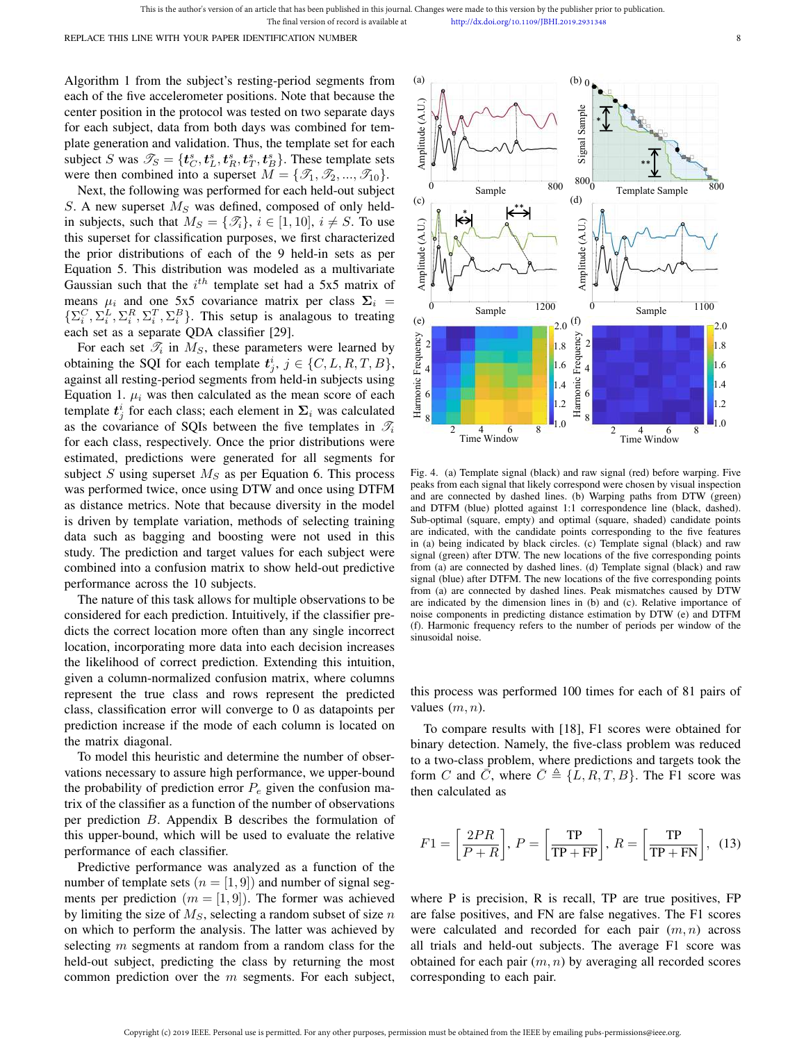The final version of record is available at http://dx.doi.org/10.1109/JBHI.2019.2931348

Algorithm 1 from the subject's resting-period segments from each of the five accelerometer positions. Note that because the center position in the protocol was tested on two separate days for each subject, data from both days was combined for template generation and validation. Thus, the template set for each subject S was  $\mathcal{I}_S = \{t^s_C, t^s_L, t^s_R, t^s_T, t^s_B\}$ . These template sets were then combined into a superset  $M = \{T_1, T_2, ..., T_{10}\}.$ 

Next, the following was performed for each held-out subject *S*. A new superset *M<sup>S</sup>* was defined, composed of only heldin subjects, such that  $M_S = \{ \mathcal{T}_i \}$ ,  $i \in [1, 10]$ ,  $i \neq S$ . To use this superset for classification purposes, we first characterized the prior distributions of each of the 9 held-in sets as per Equation 5. This distribution was modeled as a multivariate Gaussian such that the  $i^{th}$  template set had a 5x5 matrix of means  $\mu_i$  and one 5x5 covariance matrix per class  $\Sigma_i$  =  $\{\sum_{i}^{C}$ ,  $\Sigma_{i}^{L}$ ,  $\Sigma_{i}^{R}$ ,  $\Sigma_{i}^{T}$ ,  $\Sigma_{i}^{B}$ }. This setup is analagous to treating each set as a separate QDA classifier [29].

For each set  $\mathcal{T}_i$  in  $M_S$ , these parameters were learned by obtaining the SQI for each template  $t^i_j$ ,  $j \in \{C, L, R, T, B\}$ , against all resting-period segments from held-in subjects using Equation 1.  $\mu_i$  was then calculated as the mean score of each template  $t_j^i$  for each class; each element in  $\Sigma_i$  was calculated as the covariance of SQIs between the five templates in  $\mathcal{T}_i$ for each class, respectively. Once the prior distributions were estimated, predictions were generated for all segments for subject *S* using superset *M<sup>S</sup>* as per Equation 6. This process was performed twice, once using DTW and once using DTFM as distance metrics. Note that because diversity in the model is driven by template variation, methods of selecting training data such as bagging and boosting were not used in this study. The prediction and target values for each subject were combined into a confusion matrix to show held-out predictive performance across the 10 subjects.

The nature of this task allows for multiple observations to be considered for each prediction. Intuitively, if the classifier predicts the correct location more often than any single incorrect location, incorporating more data into each decision increases the likelihood of correct prediction. Extending this intuition, given a column-normalized confusion matrix, where columns represent the true class and rows represent the predicted class, classification error will converge to 0 as datapoints per prediction increase if the mode of each column is located on the matrix diagonal.

To model this heuristic and determine the number of observations necessary to assure high performance, we upper-bound the probability of prediction error  $P_e$  given the confusion matrix of the classifier as a function of the number of observations per prediction *B*. Appendix B describes the formulation of this upper-bound, which will be used to evaluate the relative performance of each classifier.

Predictive performance was analyzed as a function of the number of template sets  $(n = [1, 9])$  and number of signal segments per prediction  $(m = [1, 9])$ . The former was achieved by limiting the size of *MS*, selecting a random subset of size *n* on which to perform the analysis. The latter was achieved by selecting *m* segments at random from a random class for the held-out subject, predicting the class by returning the most common prediction over the *m* segments. For each subject,



Fig. 4. (a) Template signal (black) and raw signal (red) before warping. Five peaks from each signal that likely correspond were chosen by visual inspection and are connected by dashed lines. (b) Warping paths from DTW (green) and DTFM (blue) plotted against 1:1 correspondence line (black, dashed). Sub-optimal (square, empty) and optimal (square, shaded) candidate points are indicated, with the candidate points corresponding to the five features in (a) being indicated by black circles. (c) Template signal (black) and raw signal (green) after DTW. The new locations of the five corresponding points from (a) are connected by dashed lines. (d) Template signal (black) and raw signal (blue) after DTFM. The new locations of the five corresponding points from (a) are connected by dashed lines. Peak mismatches caused by DTW are indicated by the dimension lines in (b) and (c). Relative importance of noise components in predicting distance estimation by DTW (e) and DTFM (f). Harmonic frequency refers to the number of periods per window of the sinusoidal noise.

this process was performed 100 times for each of 81 pairs of values (*m, n*).

To compare results with [18], F1 scores were obtained for binary detection. Namely, the five-class problem was reduced to a two-class problem, where predictions and targets took the form *C* and  $\overline{C}$ , where  $\overline{C} \triangleq \{L, R, T, B\}$ . The F1 score was then calculated as

$$
F1 = \left[\frac{2PR}{P+R}\right], P = \left[\frac{TP}{TP+FP}\right], R = \left[\frac{TP}{TP+FN}\right], (13)
$$

where P is precision, R is recall, TP are true positives, FP are false positives, and FN are false negatives. The F1 scores were calculated and recorded for each pair (*m, n*) across all trials and held-out subjects. The average F1 score was obtained for each pair (*m, n*) by averaging all recorded scores corresponding to each pair.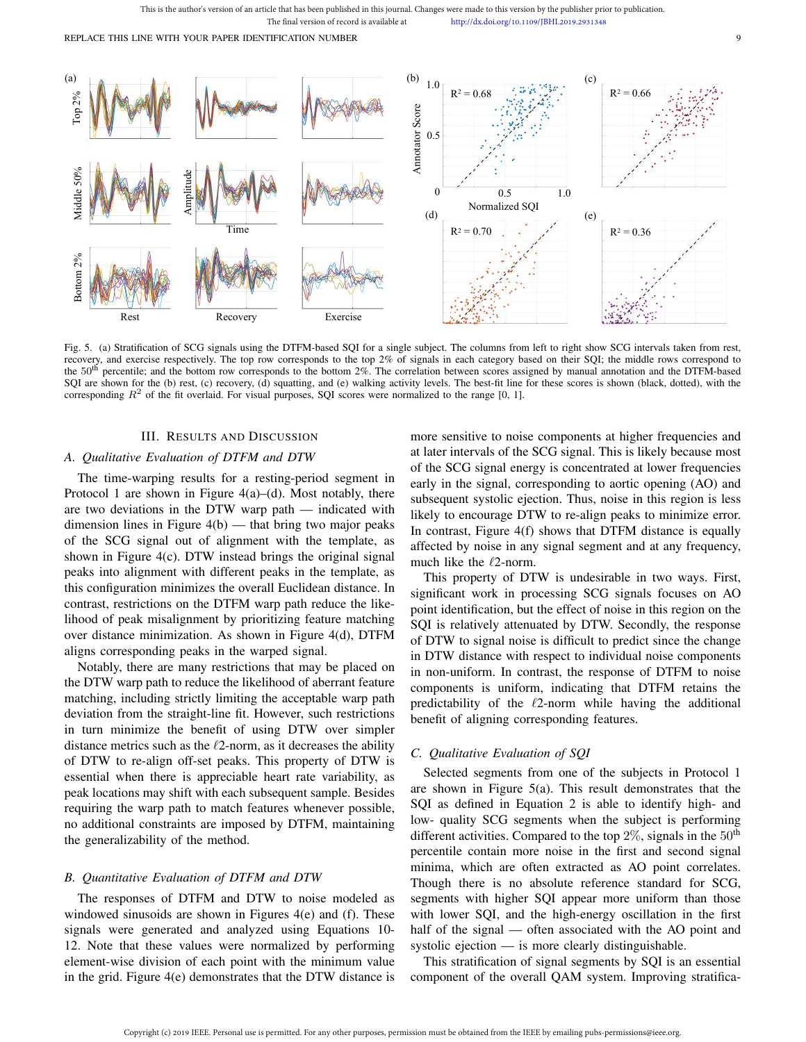This is the author's version of an article that has been published in this journal. Changes were made to this version by the publisher prior to publication

The final version of record is available at http://dx.doi.org/10.1109/JBHI.2019.2931348

REPLACE THIS LINE WITH YOUR PAPER IDENTIFICATION NUMBER



Fig. 5. (a) Stratification of SCG signals using the DTFM-based SQI for a single subject. The columns from left to right show SCG intervals taken from rest, recovery, and exercise respectively. The top row corresponds to the top 2% of signals in each category based on their SQI; the middle rows correspond to the 50<sup>th</sup> percentile; and the bottom row corresponds to the bottom 2%. The correlation between scores assigned by manual annotation and the DTFM-based SQI are shown for the (b) rest, (c) recovery, (d) squatting, and (e) walking activity levels. The best-fit line for these scores is shown (black, dotted), with the corresponding  $R^2$  of the fit overlaid. For visual purposes, SQI scores were normalized to the range [0, 1].

#### III. RESULTS AND DISCUSSION

#### *A. Qualitative Evaluation of DTFM and DTW*

The time-warping results for a resting-period segment in Protocol 1 are shown in Figure  $4(a)$ –(d). Most notably, there are two deviations in the DTW warp path — indicated with dimension lines in Figure  $4(b)$  — that bring two major peaks of the SCG signal out of alignment with the template, as shown in Figure 4(c). DTW instead brings the original signal peaks into alignment with different peaks in the template, as this configuration minimizes the overall Euclidean distance. In contrast, restrictions on the DTFM warp path reduce the likelihood of peak misalignment by prioritizing feature matching over distance minimization. As shown in Figure 4(d), DTFM aligns corresponding peaks in the warped signal.

Notably, there are many restrictions that may be placed on the DTW warp path to reduce the likelihood of aberrant feature matching, including strictly limiting the acceptable warp path deviation from the straight-line fit. However, such restrictions in turn minimize the benefit of using DTW over simpler distance metrics such as the  $\ell$ 2-norm, as it decreases the ability of DTW to re-align off-set peaks. This property of DTW is essential when there is appreciable heart rate variability, as peak locations may shift with each subsequent sample. Besides requiring the warp path to match features whenever possible, no additional constraints are imposed by DTFM, maintaining the generalizability of the method.

#### *B. Quantitative Evaluation of DTFM and DTW*

The responses of DTFM and DTW to noise modeled as windowed sinusoids are shown in Figures 4(e) and (f). These signals were generated and analyzed using Equations 10- 12. Note that these values were normalized by performing element-wise division of each point with the minimum value in the grid. Figure 4(e) demonstrates that the DTW distance is more sensitive to noise components at higher frequencies and at later intervals of the SCG signal. This is likely because most of the SCG signal energy is concentrated at lower frequencies early in the signal, corresponding to aortic opening (AO) and subsequent systolic ejection. Thus, noise in this region is less likely to encourage DTW to re-align peaks to minimize error. In contrast, Figure 4(f) shows that DTFM distance is equally affected by noise in any signal segment and at any frequency, much like the  $\ell$ 2-norm.

This property of DTW is undesirable in two ways. First, significant work in processing SCG signals focuses on AO point identification, but the effect of noise in this region on the SQI is relatively attenuated by DTW. Secondly, the response of DTW to signal noise is difficult to predict since the change in DTW distance with respect to individual noise components in non-uniform. In contrast, the response of DTFM to noise components is uniform, indicating that DTFM retains the predictability of the  $\ell$ 2-norm while having the additional benefit of aligning corresponding features.

#### *C. Qualitative Evaluation of SQI*

Selected segments from one of the subjects in Protocol 1 are shown in Figure 5(a). This result demonstrates that the SQI as defined in Equation 2 is able to identify high- and low- quality SCG segments when the subject is performing different activities. Compared to the top  $2\%$ , signals in the  $50<sup>th</sup>$ percentile contain more noise in the first and second signal minima, which are often extracted as AO point correlates. Though there is no absolute reference standard for SCG, segments with higher SQI appear more uniform than those with lower SQI, and the high-energy oscillation in the first half of the signal — often associated with the AO point and systolic ejection — is more clearly distinguishable.

This stratification of signal segments by SQI is an essential component of the overall QAM system. Improving stratifica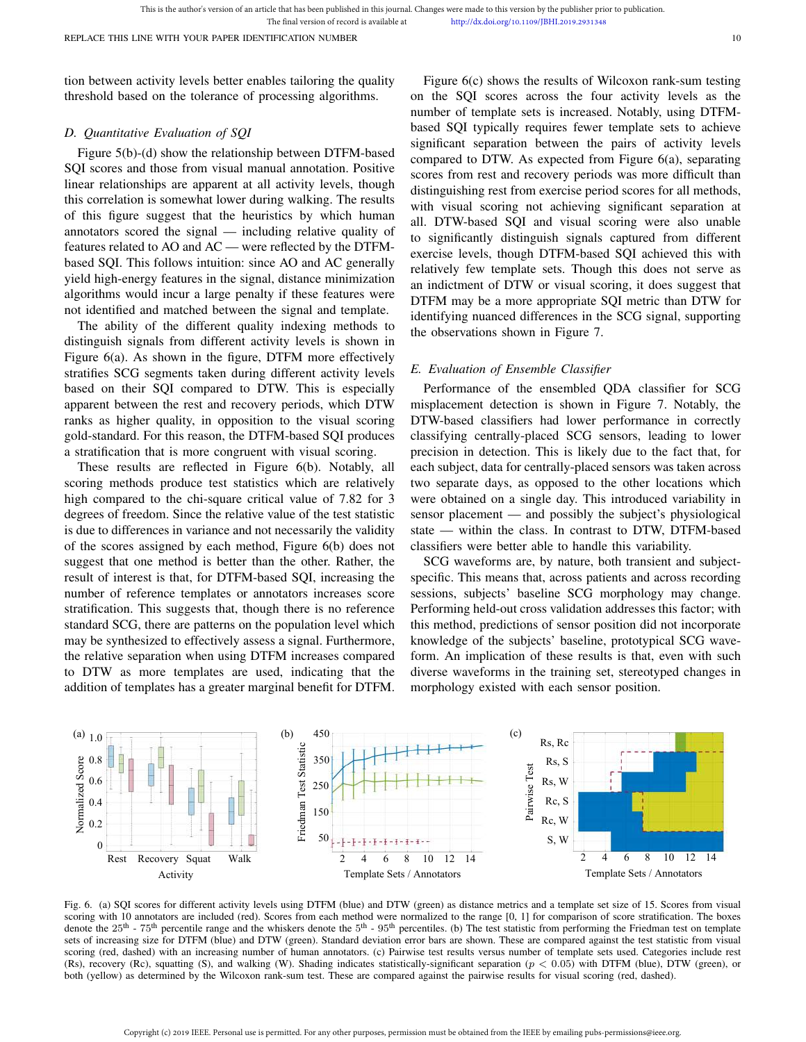tion between activity levels better enables tailoring the quality threshold based on the tolerance of processing algorithms.

# *D. Quantitative Evaluation of SQI*

Figure 5(b)-(d) show the relationship between DTFM-based SQI scores and those from visual manual annotation. Positive linear relationships are apparent at all activity levels, though this correlation is somewhat lower during walking. The results of this figure suggest that the heuristics by which human annotators scored the signal — including relative quality of features related to AO and AC — were reflected by the DTFMbased SQI. This follows intuition: since AO and AC generally yield high-energy features in the signal, distance minimization algorithms would incur a large penalty if these features were not identified and matched between the signal and template.

The ability of the different quality indexing methods to distinguish signals from different activity levels is shown in Figure 6(a). As shown in the figure, DTFM more effectively stratifies SCG segments taken during different activity levels based on their SQI compared to DTW. This is especially apparent between the rest and recovery periods, which DTW ranks as higher quality, in opposition to the visual scoring gold-standard. For this reason, the DTFM-based SQI produces a stratification that is more congruent with visual scoring.

These results are reflected in Figure 6(b). Notably, all scoring methods produce test statistics which are relatively high compared to the chi-square critical value of 7.82 for 3 degrees of freedom. Since the relative value of the test statistic is due to differences in variance and not necessarily the validity of the scores assigned by each method, Figure 6(b) does not suggest that one method is better than the other. Rather, the result of interest is that, for DTFM-based SQI, increasing the number of reference templates or annotators increases score stratification. This suggests that, though there is no reference standard SCG, there are patterns on the population level which may be synthesized to effectively assess a signal. Furthermore, the relative separation when using DTFM increases compared to DTW as more templates are used, indicating that the addition of templates has a greater marginal benefit for DTFM.

Figure 6(c) shows the results of Wilcoxon rank-sum testing on the SQI scores across the four activity levels as the number of template sets is increased. Notably, using DTFMbased SQI typically requires fewer template sets to achieve significant separation between the pairs of activity levels compared to DTW. As expected from Figure 6(a), separating scores from rest and recovery periods was more difficult than distinguishing rest from exercise period scores for all methods, with visual scoring not achieving significant separation at all. DTW-based SQI and visual scoring were also unable to significantly distinguish signals captured from different exercise levels, though DTFM-based SQI achieved this with relatively few template sets. Though this does not serve as an indictment of DTW or visual scoring, it does suggest that DTFM may be a more appropriate SQI metric than DTW for identifying nuanced differences in the SCG signal, supporting the observations shown in Figure 7.

# *E. Evaluation of Ensemble Classifier*

Performance of the ensembled QDA classifier for SCG misplacement detection is shown in Figure 7. Notably, the DTW-based classifiers had lower performance in correctly classifying centrally-placed SCG sensors, leading to lower precision in detection. This is likely due to the fact that, for each subject, data for centrally-placed sensors was taken across two separate days, as opposed to the other locations which were obtained on a single day. This introduced variability in sensor placement — and possibly the subject's physiological state — within the class. In contrast to DTW, DTFM-based classifiers were better able to handle this variability.

SCG waveforms are, by nature, both transient and subjectspecific. This means that, across patients and across recording sessions, subjects' baseline SCG morphology may change. Performing held-out cross validation addresses this factor; with this method, predictions of sensor position did not incorporate knowledge of the subjects' baseline, prototypical SCG waveform. An implication of these results is that, even with such diverse waveforms in the training set, stereotyped changes in morphology existed with each sensor position.



Fig. 6. (a) SQI scores for different activity levels using DTFM (blue) and DTW (green) as distance metrics and a template set size of 15. Scores from visual scoring with 10 annotators are included (red). Scores from each method were normalized to the range [0, 1] for comparison of score stratification. The boxes denote the  $25<sup>th</sup>$  -  $75<sup>th</sup>$  percentile range and the whiskers denote the  $5<sup>th</sup>$  -  $95<sup>th</sup>$  percentiles. (b) The test statistic from performing the Friedman test on template sets of increasing size for DTFM (blue) and DTW (green). Standard deviation error bars are shown. These are compared against the test statistic from visual scoring (red, dashed) with an increasing number of human annotators. (c) Pairwise test results versus number of template sets used. Categories include rest (Rs), recovery (Rc), squatting (S), and walking (W). Shading indicates statistically-significant separation (*p <* 0*.*05) with DTFM (blue), DTW (green), or both (yellow) as determined by the Wilcoxon rank-sum test. These are compared against the pairwise results for visual scoring (red, dashed).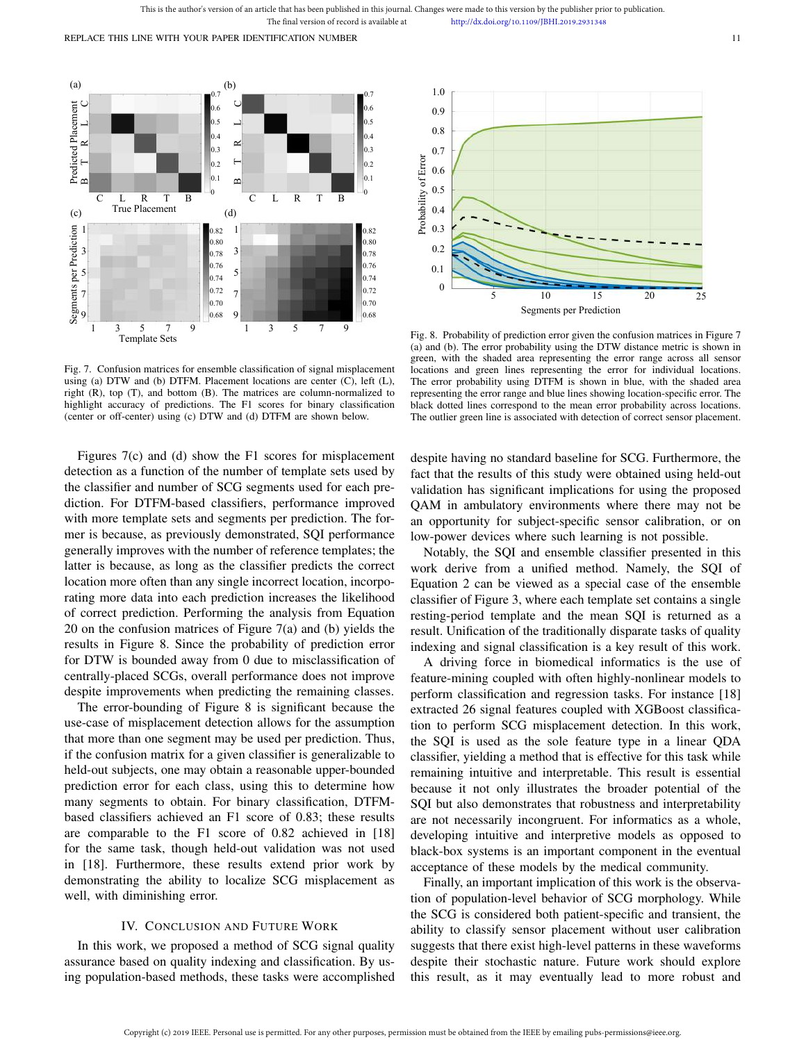REPLACE THIS LINE WITH YOUR PAPER IDENTIFICATION NUMBER 11 1



Fig. 7. Confusion matrices for ensemble classification of signal misplacement using (a) DTW and (b) DTFM. Placement locations are center (C), left (L), right (R), top (T), and bottom (B). The matrices are column-normalized to highlight accuracy of predictions. The F1 scores for binary classification (center or off-center) using (c) DTW and (d) DTFM are shown below.

Figures 7(c) and (d) show the F1 scores for misplacement detection as a function of the number of template sets used by the classifier and number of SCG segments used for each prediction. For DTFM-based classifiers, performance improved with more template sets and segments per prediction. The former is because, as previously demonstrated, SQI performance generally improves with the number of reference templates; the latter is because, as long as the classifier predicts the correct location more often than any single incorrect location, incorporating more data into each prediction increases the likelihood of correct prediction. Performing the analysis from Equation 20 on the confusion matrices of Figure 7(a) and (b) yields the results in Figure 8. Since the probability of prediction error for DTW is bounded away from 0 due to misclassification of centrally-placed SCGs, overall performance does not improve despite improvements when predicting the remaining classes.

The error-bounding of Figure 8 is significant because the use-case of misplacement detection allows for the assumption that more than one segment may be used per prediction. Thus, if the confusion matrix for a given classifier is generalizable to held-out subjects, one may obtain a reasonable upper-bounded prediction error for each class, using this to determine how many segments to obtain. For binary classification, DTFMbased classifiers achieved an F1 score of 0.83; these results are comparable to the F1 score of 0.82 achieved in [18] for the same task, though held-out validation was not used in [18]. Furthermore, these results extend prior work by demonstrating the ability to localize SCG misplacement as well, with diminishing error.

# IV. CONCLUSION AND FUTURE WORK

In this work, we proposed a method of SCG signal quality assurance based on quality indexing and classification. By using population-based methods, these tasks were accomplished



Fig. 8. Probability of prediction error given the confusion matrices in Figure 7 (a) and (b). The error probability using the DTW distance metric is shown in green, with the shaded area representing the error range across all sensor locations and green lines representing the error for individual locations. The error probability using DTFM is shown in blue, with the shaded area representing the error range and blue lines showing location-specific error. The black dotted lines correspond to the mean error probability across locations. The outlier green line is associated with detection of correct sensor placement.

despite having no standard baseline for SCG. Furthermore, the fact that the results of this study were obtained using held-out validation has significant implications for using the proposed QAM in ambulatory environments where there may not be an opportunity for subject-specific sensor calibration, or on low-power devices where such learning is not possible.

Notably, the SQI and ensemble classifier presented in this work derive from a unified method. Namely, the SQI of Equation 2 can be viewed as a special case of the ensemble classifier of Figure 3, where each template set contains a single resting-period template and the mean SQI is returned as a result. Unification of the traditionally disparate tasks of quality indexing and signal classification is a key result of this work.

A driving force in biomedical informatics is the use of feature-mining coupled with often highly-nonlinear models to perform classification and regression tasks. For instance [18] extracted 26 signal features coupled with XGBoost classification to perform SCG misplacement detection. In this work, the SQI is used as the sole feature type in a linear QDA classifier, yielding a method that is effective for this task while remaining intuitive and interpretable. This result is essential because it not only illustrates the broader potential of the SQI but also demonstrates that robustness and interpretability are not necessarily incongruent. For informatics as a whole, developing intuitive and interpretive models as opposed to black-box systems is an important component in the eventual acceptance of these models by the medical community.

Finally, an important implication of this work is the observation of population-level behavior of SCG morphology. While the SCG is considered both patient-specific and transient, the ability to classify sensor placement without user calibration suggests that there exist high-level patterns in these waveforms despite their stochastic nature. Future work should explore this result, as it may eventually lead to more robust and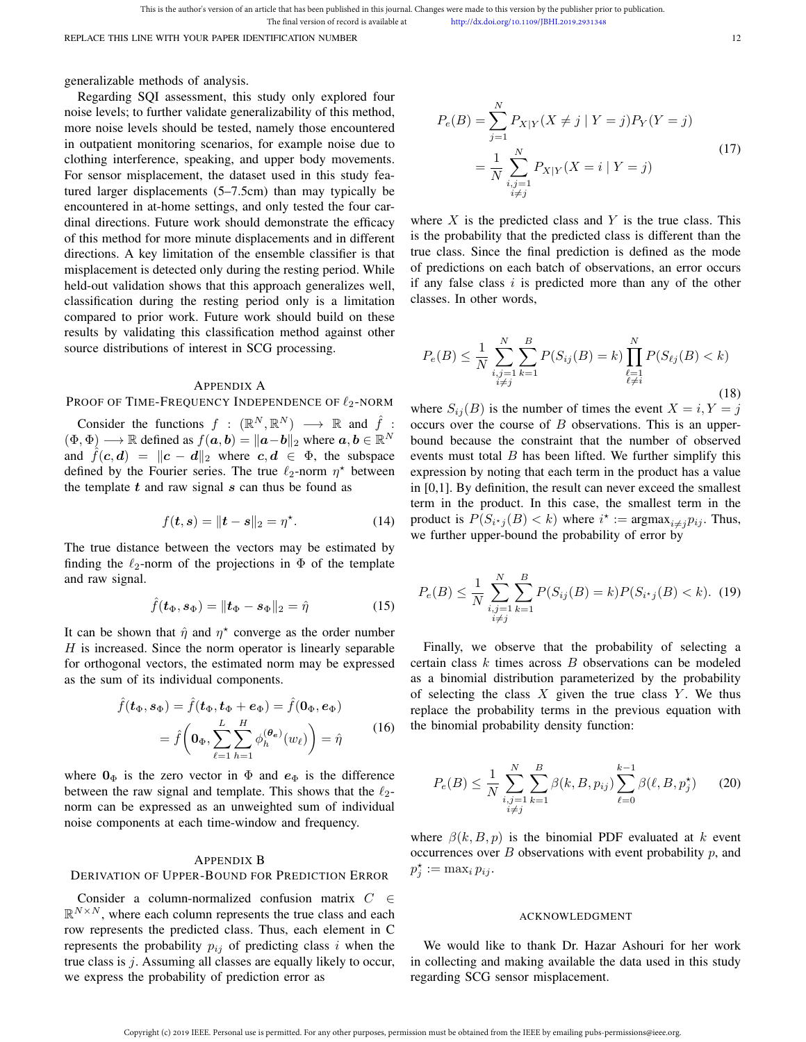REPLACE THIS LINE WITH YOUR PAPER IDENTIFICATION NUMBER 12

generalizable methods of analysis.

Regarding SQI assessment, this study only explored four noise levels; to further validate generalizability of this method, more noise levels should be tested, namely those encountered in outpatient monitoring scenarios, for example noise due to clothing interference, speaking, and upper body movements. For sensor misplacement, the dataset used in this study featured larger displacements (5–7.5cm) than may typically be encountered in at-home settings, and only tested the four cardinal directions. Future work should demonstrate the efficacy of this method for more minute displacements and in different directions. A key limitation of the ensemble classifier is that misplacement is detected only during the resting period. While held-out validation shows that this approach generalizes well, classification during the resting period only is a limitation compared to prior work. Future work should build on these results by validating this classification method against other source distributions of interest in SCG processing.

#### APPENDIX A

#### PROOF OF TIME-FREQUENCY INDEPENDENCE OF  $\ell_2$ -NORM

Consider the functions  $f : (\mathbb{R}^N, \mathbb{R}^N) \longrightarrow \mathbb{R}$  and  $\hat{f}$ :  $(\Phi, \Phi) \longrightarrow \mathbb{R}$  defined as  $f(\boldsymbol{a}, \boldsymbol{b}) = ||\boldsymbol{a} - \boldsymbol{b}||_2$  where  $\boldsymbol{a}, \boldsymbol{b} \in \mathbb{R}^N$ and  $\hat{f}(c, d) = ||c - d||_2$  where  $c, d \in \Phi$ , the subspace defined by the Fourier series. The true  $\ell_2$ -norm  $\eta^*$  between the template  $t$  and raw signal  $s$  can thus be found as

$$
f(t,s) = \|t - s\|_2 = \eta^*.
$$
 (14)

The true distance between the vectors may be estimated by finding the  $\ell_2$ -norm of the projections in  $\Phi$  of the template and raw signal.

$$
\hat{f}(\boldsymbol{t}_{\Phi},\boldsymbol{s}_{\Phi}) = \|\boldsymbol{t}_{\Phi} - \boldsymbol{s}_{\Phi}\|_2 = \hat{\eta} \tag{15}
$$

It can be shown that  $\hat{\eta}$  and  $\eta^*$  converge as the order number *H* is increased. Since the norm operator is linearly separable for orthogonal vectors, the estimated norm may be expressed as the sum of its individual components.

$$
\hat{f}(\boldsymbol{t}_{\Phi}, \boldsymbol{s}_{\Phi}) = \hat{f}(\boldsymbol{t}_{\Phi}, \boldsymbol{t}_{\Phi} + \boldsymbol{e}_{\Phi}) = \hat{f}(\boldsymbol{0}_{\Phi}, \boldsymbol{e}_{\Phi}) \n= \hat{f}\left(\boldsymbol{0}_{\Phi}, \sum_{\ell=1}^{L} \sum_{h=1}^{H} \phi_{h}^{(\boldsymbol{\theta}_{e})}(w_{\ell})\right) = \hat{\eta}
$$
\n(16)

where  $0_{\Phi}$  is the zero vector in  $\Phi$  and  $e_{\Phi}$  is the difference between the raw signal and template. This shows that the  $\ell_2$ norm can be expressed as an unweighted sum of individual noise components at each time-window and frequency.

#### APPENDIX B

# DERIVATION OF UPPER-BOUND FOR PREDICTION ERROR

Consider a column-normalized confusion matrix  $C \in$  $\mathbb{R}^{N \times N}$ , where each column represents the true class and each row represents the predicted class. Thus, each element in C represents the probability  $p_{ij}$  of predicting class *i* when the true class is *j*. Assuming all classes are equally likely to occur, we express the probability of prediction error as

$$
P_e(B) = \sum_{j=1}^{N} P_{X|Y}(X \neq j \mid Y = j) P_Y(Y = j)
$$
  
= 
$$
\frac{1}{N} \sum_{\substack{i,j=1 \ i \neq j}}^{N} P_{X|Y}(X = i \mid Y = j)
$$
 (17)

where  $X$  is the predicted class and  $Y$  is the true class. This is the probability that the predicted class is different than the true class. Since the final prediction is defined as the mode of predictions on each batch of observations, an error occurs if any false class *i* is predicted more than any of the other classes. In other words,

$$
P_e(B) \le \frac{1}{N} \sum_{\substack{i,j=1 \ i \neq j}}^N \sum_{k=1}^B P(S_{ij}(B) = k) \prod_{\substack{\ell=1 \ \ell \neq i}}^N P(S_{\ell j}(B) < k) \tag{18}
$$

where  $S_{ij}(B)$  is the number of times the event  $X = i, Y = j$ occurs over the course of *B* observations. This is an upperbound because the constraint that the number of observed events must total *B* has been lifted. We further simplify this expression by noting that each term in the product has a value in [0,1]. By definition, the result can never exceed the smallest term in the product. In this case, the smallest term in the product is  $P(S_{i^*j}(B) < k)$  where  $i^* := \text{argmax}_{i \neq j} p_{ij}$ . Thus, we further upper-bound the probability of error by

$$
P_e(B) \le \frac{1}{N} \sum_{\substack{i,j=1 \ i \neq j}}^N \sum_{k=1}^B P(S_{ij}(B) = k) P(S_{i \star j}(B) < k). \tag{19}
$$

Finally, we observe that the probability of selecting a certain class *k* times across *B* observations can be modeled as a binomial distribution parameterized by the probability of selecting the class  $X$  given the true class  $Y$ . We thus replace the probability terms in the previous equation with the binomial probability density function:

$$
P_e(B) \le \frac{1}{N} \sum_{\substack{i,j=1 \ i \neq j}}^N \sum_{k=1}^B \beta(k, B, p_{ij}) \sum_{\ell=0}^{k-1} \beta(\ell, B, p_j^*) \tag{20}
$$

where  $\beta(k, B, p)$  is the binomial PDF evaluated at *k* event occurrences over *B* observations with event probability *p*, and  $p_j^* := \max_i p_{ij}$ .

#### ACKNOWLEDGMENT

We would like to thank Dr. Hazar Ashouri for her work in collecting and making available the data used in this study regarding SCG sensor misplacement.